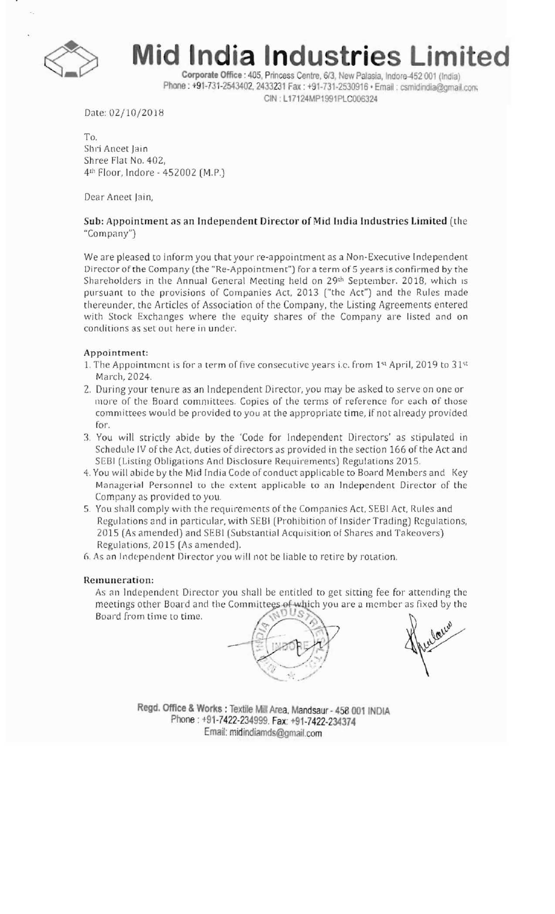

**Mid India Industries Limited** 

Corporate Office: 405. Princess Centre, 6/3, New Palasia, Indore-452 001 (India) Phone: +91-731-2543402, 2433231 Fax: +91-731-2530916 · Email: csmidindia@gmail.com CIN: L17124MP1991PLC006324

Date: 02/10/2018

To, Shri Aneet Jain Shree Flat No. 402, 4th Floor, Indore - 452002 (M.P.)

Dear Aneet Jain,

## Sub: Appointment as an Independent Director of Mid India Industries Limited (the "Company")

We are pleased to inform you that your re-appointment as a Non-Executive Independent Director of the Company (the "Re-Appointment") for a term of 5 years is confirmed by the Shareholders in the Annual General Meeting held on 29<sup>th</sup> September. 2018, which is pursuant to the provisions of Companies Act. 2013 ("the Act") and the Rules made thereunder, the Articles of Association of the Company, the Listing Agreements entered with Stock Exchanges where the equity shares of the Company are listed and on conditions as set out here in under.

### Appointment:

- 1. The Appointment is for a term of five consecutive years i.e. from  $1^{st}$  April, 2019 to  $31^{st}$ March,2024.
- 2. During your tenure as an Independent Director, you may be asked to serve on one or more of the Board committees. Copies of the terms of reference for each of those committees would be provided to you at the appropriate time, if not already provided for.
- 3. You will strictly abide by the 'Code for Independent Directors' as stipulated in Schedule IV of the Act, duties of directors as provided in the section 166 of the Act and SEBI (Listing Obligations And Disclosure Requirements) Regulations 2015,
- 4. You will abide by the Mid India Code of conduct applicable to Board Members and Key Managerial Personnel to the extent applicable to an Independent Director of the Company as provided to you.
- 5. You shall comply with the requirements of the Companies Act, SEBI Act, Rules and Regulations and in particular, with SEBI (Prohibition of Insider Trading) Regulations, 2015 (As amended) and SEBI (Substantial Acquisition of Shares and Takeovers) Regulations, 2015 (As amended).
- 6. As an Independent Director you will not be liable to retire by rotation.

#### Remuneration:

As an Independent Director you shall be entitled to get sitting fee for attending the meetings other Board and the Committees of which you are a member as fixed by the Board from time to time.



Regd. Office & Works: Textile Mill Area. Mandsaur - 458 001 INDIA Phone: +91-7422-234999. Fax: +91-7422-234374 Email: midindiamds@gmail.com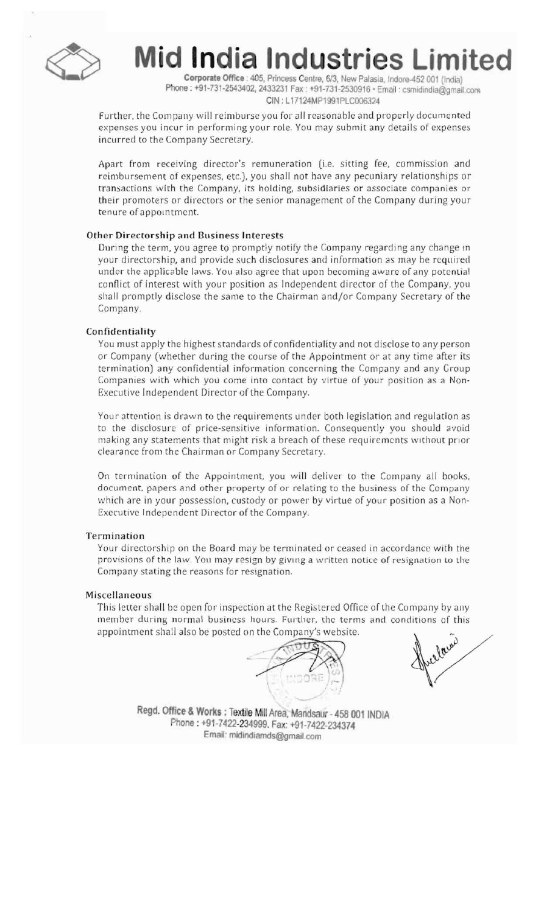

**India Industries Limited** 

Corporate Office: 405, Princess Centre, 6/3, New Palasia, Indore-452 001 (India) Phone: +91-731-2543402, 2433231 Fax: +91-731-2530916 • Email: csmidindia@gmail.com CIN: L17124MP1991PlCOOO324

Further, the Company will reimburse you for all reasonable and properly documented expenses you incur in performing your role. You may submit any details of cxpenses incurred to the Company Secretary.

Apart from receiving director's remuneration (i.e. sitting fee, commission and reimbursement of expenses, etc.), you shall not have any pecuniary relationships or transactions with the Company, its holding, subsidiaries or associate companies or their promoters or directors or the senior management of the Company during your tenure of appointment.

## Other Directorship and Business Interests

During the term, you agree to promptly notify the Company regarding any change in your directorship, and provide such disclosures and information as may be required under the applicable laws. You also agree that upon becoming aware of any potential conflict of interest with your position as Independent director of the Company, you shall promptly disclose the same to the Chairman and/or Company Secretary of the Company.

#### **Confidentiality**

You must apply the highest standards of confidentiality and not disclose to any person or Company (whether during the course of the Appointment or at any time after its termination) any confidential information concerning the Company and any Group Companies with which you come into contact by virtue of your position as a Non-Executive Independent Director of the Company.

Your attention is drawn to the requirements under both legislation and regulation as to the disclosure of price-sensitive information. Consequcntly you should avoid making any statements that might risk a breach of these requirements without prior clearance from the Chairman or Company Secretary

On termination of thc Appointment. you will deliver to the Company all books, document. papers and other property of or relating to the business of the Company which are in your possession, custody or power by virtue of your position as a Non-Executive Independent Director of the Company.

#### Termination

Your directorship on the Board may be terminated or ceased in accordance with the provisions of the law. You may resign by giving a written notice of resignation to the Company stating the reasons for resignation.

## Miscellaneous

This letter shall be open for inspection at the Registered Office of the Company by any member during normal business hours. Further, the terms and conditions of this appointment shall also be posted on the Company's website.



lawi

Regd. Office & Works : Textile Mill Area, Mandsaur - 458 001 INDIA FJMone : +91-7422-234999. Fax: 91-7422~234374 Email: midindiamds@gmail.com